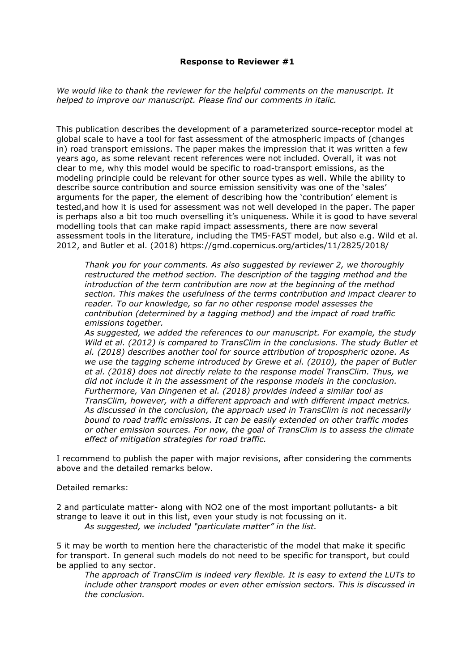## Response to Reviewer #1

We would like to thank the reviewer for the helpful comments on the manuscript. It helped to improve our manuscript. Please find our comments in italic.

This publication describes the development of a parameterized source-receptor model at global scale to have a tool for fast assessment of the atmospheric impacts of (changes in) road transport emissions. The paper makes the impression that it was written a few years ago, as some relevant recent references were not included. Overall, it was not clear to me, why this model would be specific to road-transport emissions, as the modeling principle could be relevant for other source types as well. While the ability to describe source contribution and source emission sensitivity was one of the 'sales' arguments for the paper, the element of describing how the 'contribution' element is tested,and how it is used for assessment was not well developed in the paper. The paper is perhaps also a bit too much overselling it's uniqueness. While it is good to have several modelling tools that can make rapid impact assessments, there are now several assessment tools in the literature, including the TM5-FAST model, but also e.g. Wild et al. 2012, and Butler et al. (2018) https://gmd.copernicus.org/articles/11/2825/2018/

Thank you for your comments. As also suggested by reviewer 2, we thoroughly restructured the method section. The description of the tagging method and the introduction of the term contribution are now at the beginning of the method section. This makes the usefulness of the terms contribution and impact clearer to reader. To our knowledge, so far no other response model assesses the contribution (determined by a tagging method) and the impact of road traffic emissions together.

As suggested, we added the references to our manuscript. For example, the study Wild et al. (2012) is compared to TransClim in the conclusions. The study Butler et al. (2018) describes another tool for source attribution of tropospheric ozone. As we use the tagging scheme introduced by Grewe et al. (2010), the paper of Butler et al. (2018) does not directly relate to the response model TransClim. Thus, we did not include it in the assessment of the response models in the conclusion. Furthermore, Van Dingenen et al. (2018) provides indeed a similar tool as TransClim, however, with a different approach and with different impact metrics. As discussed in the conclusion, the approach used in TransClim is not necessarily bound to road traffic emissions. It can be easily extended on other traffic modes or other emission sources. For now, the goal of TransClim is to assess the climate effect of mitigation strategies for road traffic.

I recommend to publish the paper with major revisions, after considering the comments above and the detailed remarks below.

Detailed remarks:

2 and particulate matter- along with NO2 one of the most important pollutants- a bit strange to leave it out in this list, even your study is not focussing on it. As suggested, we included "particulate matter" in the list.

5 it may be worth to mention here the characteristic of the model that make it specific for transport. In general such models do not need to be specific for transport, but could be applied to any sector.

The approach of TransClim is indeed very flexible. It is easy to extend the LUTs to include other transport modes or even other emission sectors. This is discussed in the conclusion.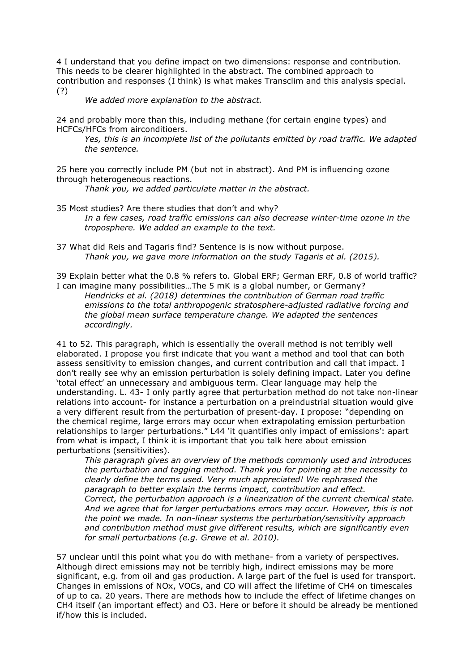4 I understand that you define impact on two dimensions: response and contribution. This needs to be clearer highlighted in the abstract. The combined approach to contribution and responses (I think) is what makes Transclim and this analysis special. (?)

## We added more explanation to the abstract.

24 and probably more than this, including methane (for certain engine types) and HCFCs/HFCs from airconditioers.

Yes, this is an incomplete list of the pollutants emitted by road traffic. We adapted the sentence.

25 here you correctly include PM (but not in abstract). And PM is influencing ozone through heterogeneous reactions.

Thank you, we added particulate matter in the abstract.

- 35 Most studies? Are there studies that don't and why? In a few cases, road traffic emissions can also decrease winter-time ozone in the troposphere. We added an example to the text.
- 37 What did Reis and Tagaris find? Sentence is is now without purpose. Thank you, we gave more information on the study Tagaris et al. (2015).

39 Explain better what the 0.8 % refers to. Global ERF; German ERF, 0.8 of world traffic? I can imagine many possibilities…The 5 mK is a global number, or Germany?

Hendricks et al. (2018) determines the contribution of German road traffic emissions to the total anthropogenic stratosphere-adjusted radiative forcing and the global mean surface temperature change. We adapted the sentences accordingly.

41 to 52. This paragraph, which is essentially the overall method is not terribly well elaborated. I propose you first indicate that you want a method and tool that can both assess sensitivity to emission changes, and current contribution and call that impact. I don't really see why an emission perturbation is solely defining impact. Later you define 'total effect' an unnecessary and ambiguous term. Clear language may help the understanding. L. 43- I only partly agree that perturbation method do not take non-linear relations into account- for instance a perturbation on a preindustrial situation would give a very different result from the perturbation of present-day. I propose: "depending on the chemical regime, large errors may occur when extrapolating emission perturbation relationships to larger perturbations." L44 'it quantifies only impact of emissions': apart from what is impact, I think it is important that you talk here about emission perturbations (sensitivities).

This paragraph gives an overview of the methods commonly used and introduces the perturbation and tagging method. Thank you for pointing at the necessity to clearly define the terms used. Very much appreciated! We rephrased the paragraph to better explain the terms impact, contribution and effect. Correct, the perturbation approach is a linearization of the current chemical state. And we agree that for larger perturbations errors may occur. However, this is not the point we made. In non-linear systems the perturbation/sensitivity approach and contribution method must give different results, which are significantly even for small perturbations (e.g. Grewe et al. 2010).

57 unclear until this point what you do with methane- from a variety of perspectives. Although direct emissions may not be terribly high, indirect emissions may be more significant, e.g. from oil and gas production. A large part of the fuel is used for transport. Changes in emissions of NOx, VOCs, and CO will affect the lifetime of CH4 on timescales of up to ca. 20 years. There are methods how to include the effect of lifetime changes on CH4 itself (an important effect) and O3. Here or before it should be already be mentioned if/how this is included.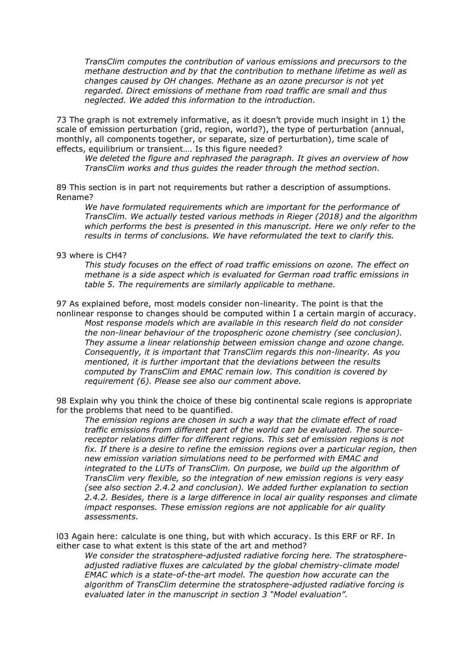TransClim computes the contribution of various emissions and precursors to the methane destruction and by that the contribution to methane lifetime as well as changes caused by OH changes. Methane as an ozone precursor is not yet regarded. Direct emissions of methane from road traffic are small and thus neglected. We added this information to the introduction.

73 The graph is not extremely informative, as it doesn't provide much insight in 1) the scale of emission perturbation (grid, region, world?), the type of perturbation (annual, monthly, all components together, or separate, size of perturbation), time scale of effects, equilibrium or transient…. Is this figure needed?

We deleted the figure and rephrased the paragraph. It gives an overview of how TransClim works and thus guides the reader through the method section.

89 This section is in part not requirements but rather a description of assumptions. Rename?

We have formulated requirements which are important for the performance of TransClim. We actually tested various methods in Rieger (2018) and the algorithm which performs the best is presented in this manuscript. Here we only refer to the results in terms of conclusions. We have reformulated the text to clarify this.

## 93 where is CH4?

This study focuses on the effect of road traffic emissions on ozone. The effect on methane is a side aspect which is evaluated for German road traffic emissions in table 5. The requirements are similarly applicable to methane.

97 As explained before, most models consider non-linearity. The point is that the nonlinear response to changes should be computed within I a certain margin of accuracy.

Most response models which are available in this research field do not consider the non-linear behaviour of the tropospheric ozone chemistry (see conclusion). They assume a linear relationship between emission change and ozone change. Consequently, it is important that TransClim regards this non-linearity. As you mentioned, it is further important that the deviations between the results computed by TransClim and EMAC remain low. This condition is covered by requirement (6). Please see also our comment above.

98 Explain why you think the choice of these big continental scale regions is appropriate for the problems that need to be quantified.

The emission regions are chosen in such a way that the climate effect of road traffic emissions from different part of the world can be evaluated. The sourcereceptor relations differ for different regions. This set of emission regions is not fix. If there is a desire to refine the emission regions over a particular region, then new emission variation simulations need to be performed with EMAC and integrated to the LUTs of TransClim. On purpose, we build up the algorithm of TransClim very flexible, so the integration of new emission regions is very easy (see also section 2.4.2 and conclusion). We added further explanation to section 2.4.2. Besides, there is a large difference in local air quality responses and climate impact responses. These emission regions are not applicable for air quality assessments.

l03 Again here: calculate is one thing, but with which accuracy. Is this ERF or RF. In either case to what extent is this state of the art and method?

We consider the stratosphere-adjusted radiative forcing here. The stratosphereadjusted radiative fluxes are calculated by the global chemistry-climate model EMAC which is a state-of-the-art model. The question how accurate can the algorithm of TransClim determine the stratosphere-adjusted radiative forcing is evaluated later in the manuscript in section 3 "Model evaluation".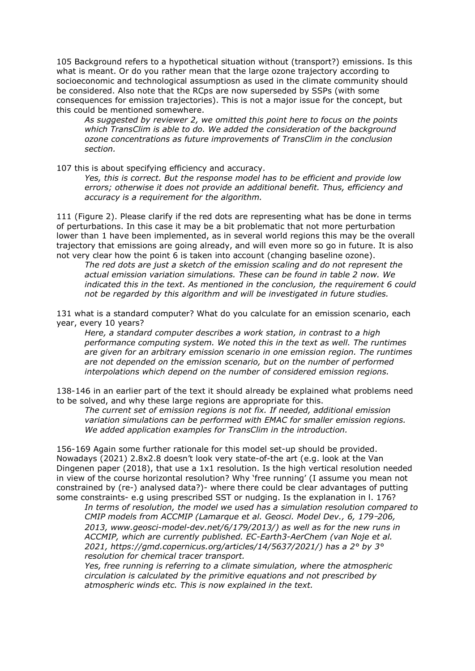105 Background refers to a hypothetical situation without (transport?) emissions. Is this what is meant. Or do you rather mean that the large ozone trajectory according to socioeconomic and technological assumptiosn as used in the climate community should be considered. Also note that the RCps are now superseded by SSPs (with some consequences for emission trajectories). This is not a major issue for the concept, but this could be mentioned somewhere.

As suggested by reviewer 2, we omitted this point here to focus on the points which TransClim is able to do. We added the consideration of the background ozone concentrations as future improvements of TransClim in the conclusion section.

107 this is about specifying efficiency and accuracy.

Yes, this is correct. But the response model has to be efficient and provide low errors; otherwise it does not provide an additional benefit. Thus, efficiency and accuracy is a requirement for the algorithm.

111 (Figure 2). Please clarify if the red dots are representing what has be done in terms of perturbations. In this case it may be a bit problematic that not more perturbation lower than 1 have been implemented, as in several world regions this may be the overall trajectory that emissions are going already, and will even more so go in future. It is also not very clear how the point 6 is taken into account (changing baseline ozone).

The red dots are just a sketch of the emission scaling and do not represent the actual emission variation simulations. These can be found in table 2 now. We indicated this in the text. As mentioned in the conclusion, the requirement 6 could not be regarded by this algorithm and will be investigated in future studies.

131 what is a standard computer? What do you calculate for an emission scenario, each year, every 10 years?

Here, a standard computer describes a work station, in contrast to a high performance computing system. We noted this in the text as well. The runtimes are given for an arbitrary emission scenario in one emission region. The runtimes are not depended on the emission scenario, but on the number of performed interpolations which depend on the number of considered emission regions.

138-146 in an earlier part of the text it should already be explained what problems need to be solved, and why these large regions are appropriate for this.

The current set of emission regions is not fix. If needed, additional emission variation simulations can be performed with EMAC for smaller emission regions. We added application examples for TransClim in the introduction.

156-169 Again some further rationale for this model set-up should be provided. Nowadays (2021) 2.8x2.8 doesn't look very state-of-the art (e.g. look at the Van Dingenen paper (2018), that use a 1x1 resolution. Is the high vertical resolution needed in view of the course horizontal resolution? Why 'free running' (I assume you mean not constrained by (re-) analysed data?)- where there could be clear advantages of putting some constraints- e.g using prescribed SST or nudging. Is the explanation in l. 176?

In terms of resolution, the model we used has a simulation resolution compared to CMIP models from ACCMIP (Lamarque et al. Geosci. Model Dev., 6, 179–206, 2013, www.geosci-model-dev.net/6/179/2013/) as well as for the new runs in ACCMIP, which are currently published. EC-Earth3-AerChem (van Noje et al. 2021, https://gmd.copernicus.org/articles/14/5637/2021/) has a  $2^{\circ}$  by  $3^{\circ}$ resolution for chemical tracer transport.

Yes, free running is referring to a climate simulation, where the atmospheric circulation is calculated by the primitive equations and not prescribed by atmospheric winds etc. This is now explained in the text.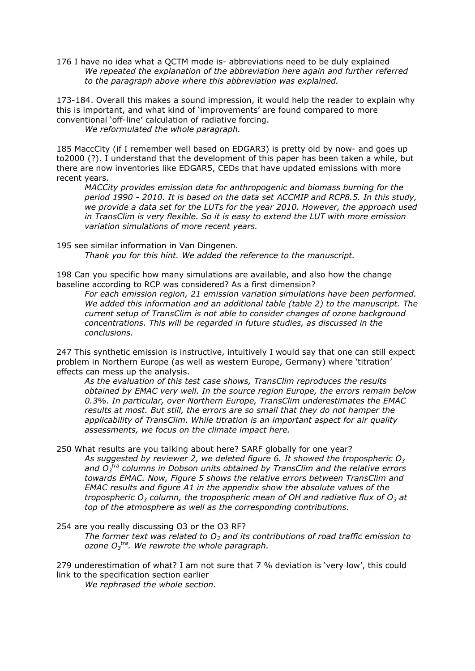176 I have no idea what a QCTM mode is- abbreviations need to be duly explained We repeated the explanation of the abbreviation here again and further referred to the paragraph above where this abbreviation was explained.

173-184. Overall this makes a sound impression, it would help the reader to explain why this is important, and what kind of 'improvements' are found compared to more conventional 'off-line' calculation of radiative forcing.

We reformulated the whole paragraph.

185 MaccCity (if I remember well based on EDGAR3) is pretty old by now- and goes up to2000 (?). I understand that the development of this paper has been taken a while, but there are now inventories like EDGAR5, CEDs that have updated emissions with more recent years.

MACCity provides emission data for anthropogenic and biomass burning for the period 1990 - 2010. It is based on the data set ACCMIP and RCP8.5. In this study, we provide a data set for the LUTs for the year 2010. However, the approach used in TransClim is very flexible. So it is easy to extend the LUT with more emission variation simulations of more recent years.

195 see similar information in Van Dingenen. Thank you for this hint. We added the reference to the manuscript.

198 Can you specific how many simulations are available, and also how the change baseline according to RCP was considered? As a first dimension?

For each emission region, 21 emission variation simulations have been performed. We added this information and an additional table (table 2) to the manuscript. The current setup of TransClim is not able to consider changes of ozone background concentrations. This will be regarded in future studies, as discussed in the conclusions.

247 This synthetic emission is instructive, intuitively I would say that one can still expect problem in Northern Europe (as well as western Europe, Germany) where 'titration' effects can mess up the analysis.

As the evaluation of this test case shows, TransClim reproduces the results obtained by EMAC very well. In the source region Europe, the errors remain below 0.3%. In particular, over Northern Europe, TransClim underestimates the EMAC results at most. But still, the errors are so small that they do not hamper the applicability of TransClim. While titration is an important aspect for air quality assessments, we focus on the climate impact here.

250 What results are you talking about here? SARF globally for one year?

As suggested by reviewer 2, we deleted figure 6. It showed the tropospheric  $O_3$ and  $O_3$ <sup>tra</sup> columns in Dobson units obtained by TransClim and the relative errors towards EMAC. Now, Figure 5 shows the relative errors between TransClim and EMAC results and figure A1 in the appendix show the absolute values of the tropospheric  $O_3$  column, the tropospheric mean of OH and radiative flux of  $O_3$  at top of the atmosphere as well as the corresponding contributions.

254 are you really discussing O3 or the O3 RF?

The former text was related to  $O_3$  and its contributions of road traffic emission to ozone  $O_3$ <sup>tra</sup>. We rewrote the whole paragraph.

279 underestimation of what? I am not sure that 7 % deviation is 'very low', this could link to the specification section earlier

We rephrased the whole section.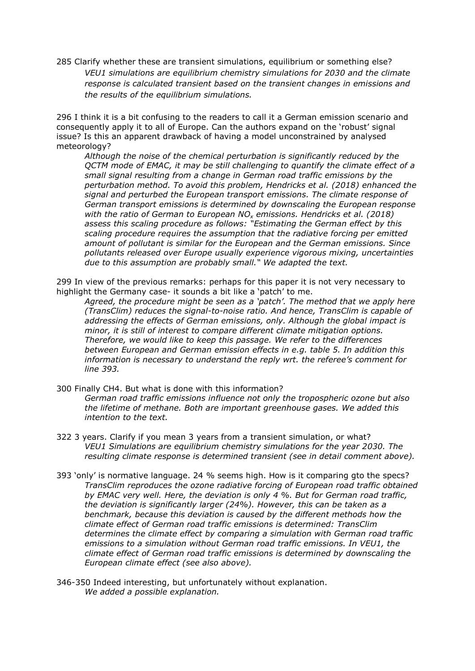285 Clarify whether these are transient simulations, equilibrium or something else? VEU1 simulations are equilibrium chemistry simulations for 2030 and the climate response is calculated transient based on the transient changes in emissions and the results of the equilibrium simulations.

296 I think it is a bit confusing to the readers to call it a German emission scenario and consequently apply it to all of Europe. Can the authors expand on the 'robust' signal issue? Is this an apparent drawback of having a model unconstrained by analysed meteorology?

Although the noise of the chemical perturbation is significantly reduced by the QCTM mode of EMAC, it may be still challenging to quantify the climate effect of a small signal resulting from a change in German road traffic emissions by the perturbation method. To avoid this problem, Hendricks et al. (2018) enhanced the signal and perturbed the European transport emissions. The climate response of German transport emissions is determined by downscaling the European response with the ratio of German to European NO<sub>x</sub> emissions. Hendricks et al. (2018) assess this scaling procedure as follows: "Estimating the German effect by this scaling procedure requires the assumption that the radiative forcing per emitted amount of pollutant is similar for the European and the German emissions. Since pollutants released over Europe usually experience vigorous mixing, uncertainties due to this assumption are probably small." We adapted the text.

299 In view of the previous remarks: perhaps for this paper it is not very necessary to highlight the Germany case- it sounds a bit like a 'patch' to me.

Agreed, the procedure might be seen as a 'patch'. The method that we apply here (TransClim) reduces the signal-to-noise ratio. And hence, TransClim is capable of addressing the effects of German emissions, only. Although the global impact is minor, it is still of interest to compare different climate mitigation options. Therefore, we would like to keep this passage. We refer to the differences between European and German emission effects in e.g. table 5. In addition this information is necessary to understand the reply wrt. the referee's comment for line 393.

- 300 Finally CH4. But what is done with this information? German road traffic emissions influence not only the tropospheric ozone but also the lifetime of methane. Both are important greenhouse gases. We added this intention to the text.
- 322 3 years. Clarify if you mean 3 years from a transient simulation, or what? VEU1 Simulations are equilibrium chemistry simulations for the year 2030. The resulting climate response is determined transient (see in detail comment above).
- 393 'only' is normative language. 24 % seems high. How is it comparing gto the specs? TransClim reproduces the ozone radiative forcing of European road traffic obtained by EMAC very well. Here, the deviation is only 4 %. But for German road traffic, the deviation is significantly larger (24%). However, this can be taken as a benchmark, because this deviation is caused by the different methods how the climate effect of German road traffic emissions is determined: TransClim determines the climate effect by comparing a simulation with German road traffic emissions to a simulation without German road traffic emissions. In VEU1, the climate effect of German road traffic emissions is determined by downscaling the European climate effect (see also above).

346-350 Indeed interesting, but unfortunately without explanation. We added a possible explanation.